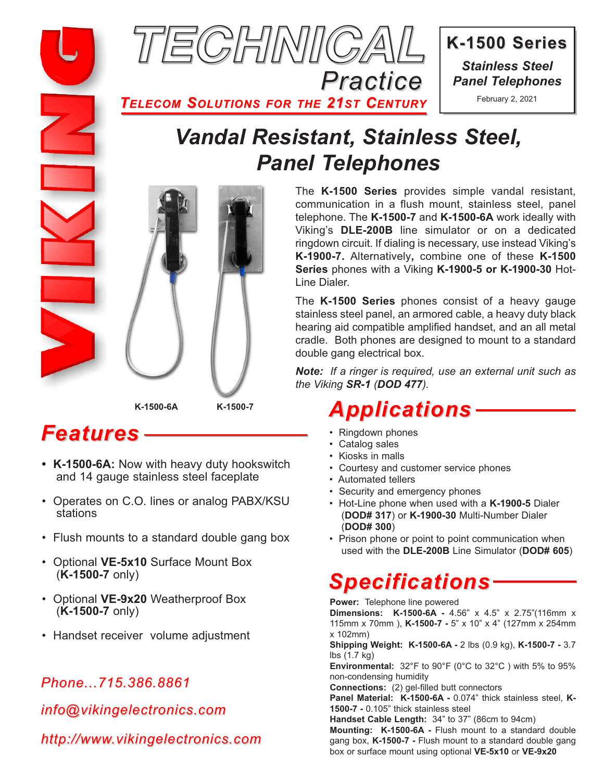

**K-1500 Series K-1500 Series** *Stainless Steel Panel Telephones*

February 2, 2021

*TELECOM SOLUTIONS FOR THE 21ST CENTURY*

## *Vandal Resistant, Stainless Steel, Panel Telephones*



*Features*

- **K-1500-6A:** Now with heavy duty hookswitch and 14 gauge stainless steel faceplate
- Operates on C.O. lines or analog PABX/KSU stations
- Flush mounts to a standard double gang box
- Optional **VE-5x10** Surface Mount Box (**K-1500-7** only)
- Optional **VE-9x20** Weatherproof Box (**K-1500-7** only)
- Handset receiver volume adjustment

### *Phone...715.386.8861*

*info@vikingelectronics.com*

*http://www.vikingelectronics.com*

The **K-1500 Series** provides simple vandal resistant, communication in a flush mount, stainless steel, panel telephone. The **K-1500-7** and **K-1500-6A** work ideally with Viking's **DLE-200B** line simulator or on a dedicated ringdown circuit. If dialing is necessary, use instead Viking's **K-1900-7.** Alternatively**,** combine one of these **K-1500 Series** phones with a Viking **K-1900-5 or K-1900-30** Hot-Line Dialer.

The **K-1500 Series** phones consist of a heavy gauge stainless steel panel, an armored cable, a heavy duty black hearing aid compatible amplified handset, and an all metal cradle. Both phones are designed to mount to a standard double gang electrical box.

*Note: If a ringer is required, use an external unit such as the Viking SR-1 (DOD 477).*

### *Applications*

- Ringdown phones
- Catalog sales
- Kiosks in malls
- Courtesy and customer service phones
- Automated tellers
- Security and emergency phones
- Hot-Line phone when used with a **K-1900-5** Dialer (**DOD# 317**) or **K-1900-30** Multi-Number Dialer (**DOD# 300**)
- Prison phone or point to point communication when used with the **DLE-200B** Line Simulator (**DOD# 605**)

# *Specifications*

**Power:** Telephone line powered **Dimensions: K-1500-6A -** 4.56" x 4.5" x 2.75"(116mm x 115mm x 70mm ), **K-1500-7 -** 5" x 10" x 4" (127mm x 254mm x 102mm) **Shipping Weight: K-1500-6A -** 2 lbs (0.9 kg), **K-1500-7 -** 3.7 lbs (1.7 kg) **Environmental:** 32°F to 90°F (0°C to 32°C ) with 5% to 95% non-condensing humidity **Connections:** (2) gel-filled butt connectors **Panel Material: K-1500-6A -** 0.074" thick stainless steel, **K-1500-7 -** 0.105" thick stainless steel **Handset Cable Length:** 34" to 37" (86cm to 94cm) **Mounting: K-1500-6A -** Flush mount to a standard double gang box, **K-1500-7 -** Flush mount to a standard double gang box or surface mount using optional **VE-5x10** or **VE-9x20**